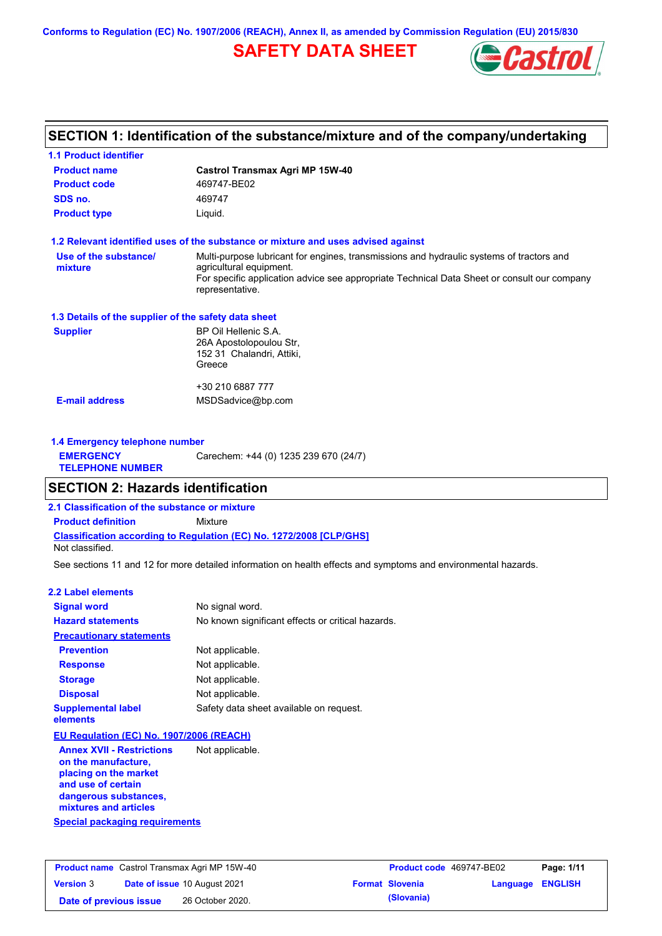**Conforms to Regulation (EC) No. 1907/2006 (REACH), Annex II, as amended by Commission Regulation (EU) 2015/830**

# **SAFETY DATA SHEET**



## **SECTION 1: Identification of the substance/mixture and of the company/undertaking**

| <b>1.1 Product identifier</b>                        |                                                                                                                     |
|------------------------------------------------------|---------------------------------------------------------------------------------------------------------------------|
| <b>Product name</b>                                  | <b>Castrol Transmax Agri MP 15W-40</b>                                                                              |
| <b>Product code</b>                                  | 469747-BE02                                                                                                         |
| SDS no.                                              | 469747                                                                                                              |
| <b>Product type</b>                                  | Liquid.                                                                                                             |
|                                                      | 1.2 Relevant identified uses of the substance or mixture and uses advised against                                   |
| Use of the substance/<br>mixture                     | Multi-purpose lubricant for engines, transmissions and hydraulic systems of tractors and<br>agricultural equipment. |
|                                                      | For specific application advice see appropriate Technical Data Sheet or consult our company<br>representative.      |
| 1.3 Details of the supplier of the safety data sheet |                                                                                                                     |
| <b>Supplier</b>                                      | BP Oil Hellenic S.A.<br>26A Apostolopoulou Str,<br>152 31 Chalandri, Attiki,<br>Greece                              |
|                                                      | +30 210 6887 777                                                                                                    |
| <b>E-mail address</b>                                | MSDSadvice@bp.com                                                                                                   |
| 1.4 Emergency telephone number                       |                                                                                                                     |
| <b>EMERGENCY</b><br><b>TELEPHONE NUMBER</b>          | Carechem: +44 (0) 1235 239 670 (24/7)                                                                               |

## **SECTION 2: Hazards identification**

**2.1 Classification of the substance or mixture**

**Classification according to Regulation (EC) No. 1272/2008 [CLP/GHS] Product definition** Mixture

Not classified.

See sections 11 and 12 for more detailed information on health effects and symptoms and environmental hazards.

### **2.2 Label elements**

| <b>Signal word</b>                                      | No signal word.                                   |
|---------------------------------------------------------|---------------------------------------------------|
| <b>Hazard statements</b>                                | No known significant effects or critical hazards. |
| <b>Precautionary statements</b>                         |                                                   |
| <b>Prevention</b>                                       | Not applicable.                                   |
| <b>Response</b>                                         | Not applicable.                                   |
| <b>Storage</b>                                          | Not applicable.                                   |
| <b>Disposal</b>                                         | Not applicable.                                   |
| <b>Supplemental label</b><br>elements                   | Safety data sheet available on request.           |
| EU Regulation (EC) No. 1907/2006 (REACH)                |                                                   |
| <b>Annex XVII - Restrictions</b><br>on the manufacture, | Not applicable.                                   |

**Special packaging requirements on the manufacture, placing on the market and use of certain dangerous substances, mixtures and articles**

| <b>Product name</b> Castrol Transmax Agri MP 15W-40 |  |                                     | <b>Product code</b> 469747-BE02 | Page: 1/11             |                         |  |
|-----------------------------------------------------|--|-------------------------------------|---------------------------------|------------------------|-------------------------|--|
| <b>Version 3</b>                                    |  | <b>Date of issue 10 August 2021</b> |                                 | <b>Format Slovenia</b> | <b>Language ENGLISH</b> |  |
| Date of previous issue                              |  | 26 October 2020.                    |                                 | (Slovania)             |                         |  |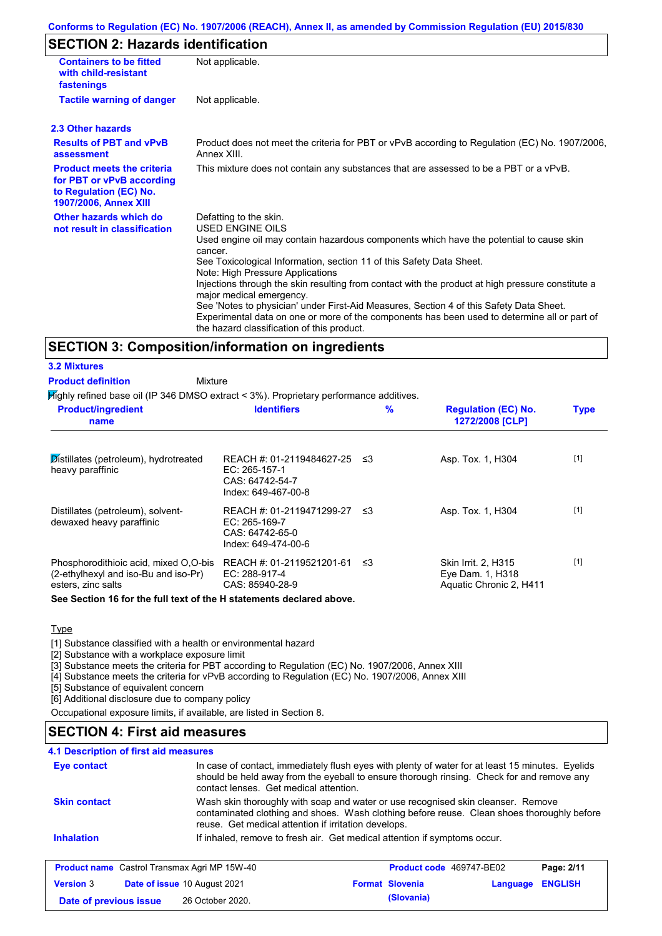## **SECTION 2: Hazards identification**

| <b>Containers to be fitted</b><br>with child-resistant<br>fastenings                                                     | Not applicable.                                                                                                                                                                                                                                                                                                                                                                                                                                                                                                                                                                                                                        |
|--------------------------------------------------------------------------------------------------------------------------|----------------------------------------------------------------------------------------------------------------------------------------------------------------------------------------------------------------------------------------------------------------------------------------------------------------------------------------------------------------------------------------------------------------------------------------------------------------------------------------------------------------------------------------------------------------------------------------------------------------------------------------|
| <b>Tactile warning of danger</b>                                                                                         | Not applicable.                                                                                                                                                                                                                                                                                                                                                                                                                                                                                                                                                                                                                        |
| 2.3 Other hazards                                                                                                        |                                                                                                                                                                                                                                                                                                                                                                                                                                                                                                                                                                                                                                        |
| <b>Results of PBT and vPvB</b><br>assessment                                                                             | Product does not meet the criteria for PBT or vPvB according to Regulation (EC) No. 1907/2006,<br>Annex XIII.                                                                                                                                                                                                                                                                                                                                                                                                                                                                                                                          |
| <b>Product meets the criteria</b><br>for PBT or vPvB according<br>to Regulation (EC) No.<br><b>1907/2006, Annex XIII</b> | This mixture does not contain any substances that are assessed to be a PBT or a vPvB.                                                                                                                                                                                                                                                                                                                                                                                                                                                                                                                                                  |
| Other hazards which do<br>not result in classification                                                                   | Defatting to the skin.<br>USED ENGINE OILS<br>Used engine oil may contain hazardous components which have the potential to cause skin<br>cancer.<br>See Toxicological Information, section 11 of this Safety Data Sheet.<br>Note: High Pressure Applications<br>Injections through the skin resulting from contact with the product at high pressure constitute a<br>major medical emergency.<br>See 'Notes to physician' under First-Aid Measures, Section 4 of this Safety Data Sheet.<br>Experimental data on one or more of the components has been used to determine all or part of<br>the hazard classification of this product. |

### **SECTION 3: Composition/information on ingredients**

## **3.2 Mixtures**

**Product definition**

**Mixture** 

 $H$ ighly refined base oil (IP 346 DMSO extract < 3%). Proprietary performance additives

| <b>Product/ingredient</b><br>name                                                                   | <b>Identifiers</b>                                                                      | $\%$ | <b>Regulation (EC) No.</b><br>1272/2008 [CLP]                      | <b>Type</b> |  |
|-----------------------------------------------------------------------------------------------------|-----------------------------------------------------------------------------------------|------|--------------------------------------------------------------------|-------------|--|
| Distillates (petroleum), hydrotreated<br>heavy paraffinic                                           | REACH #: 01-2119484627-25 ≤3<br>EC: 265-157-1<br>CAS: 64742-54-7<br>Index: 649-467-00-8 |      | Asp. Tox. 1, H304                                                  | $[1]$       |  |
| Distillates (petroleum), solvent-<br>dewaxed heavy paraffinic                                       | REACH #: 01-2119471299-27<br>$EC: 265-169-7$<br>CAS: 64742-65-0<br>Index: 649-474-00-6  | - ≤3 | Asp. Tox. 1, H304                                                  | $[1]$       |  |
| Phosphorodithioic acid, mixed O,O-bis<br>(2-ethylhexyl and iso-Bu and iso-Pr)<br>esters, zinc salts | REACH #: 01-2119521201-61<br>EC: 288-917-4<br>CAS: 85940-28-9                           | -≤3  | Skin Irrit. 2, H315<br>Eye Dam. 1, H318<br>Aquatic Chronic 2, H411 | $[1]$       |  |

**See Section 16 for the full text of the H statements declared above.**

## **Type**

[1] Substance classified with a health or environmental hazard

[2] Substance with a workplace exposure limit

[3] Substance meets the criteria for PBT according to Regulation (EC) No. 1907/2006, Annex XIII

[4] Substance meets the criteria for vPvB according to Regulation (EC) No. 1907/2006, Annex XIII

[5] Substance of equivalent concern

[6] Additional disclosure due to company policy

Occupational exposure limits, if available, are listed in Section 8.

## **SECTION 4: First aid measures**

### **4.1 Description of first aid measures**

| Eye contact                                                                                                                                                                                                                                                   | In case of contact, immediately flush eyes with plenty of water for at least 15 minutes. Eyelids<br>should be held away from the eyeball to ensure thorough rinsing. Check for and remove any<br>contact lenses. Get medical attention. |                                                                           |                        |                                 |                |  |
|---------------------------------------------------------------------------------------------------------------------------------------------------------------------------------------------------------------------------------------------------------------|-----------------------------------------------------------------------------------------------------------------------------------------------------------------------------------------------------------------------------------------|---------------------------------------------------------------------------|------------------------|---------------------------------|----------------|--|
| Wash skin thoroughly with soap and water or use recognised skin cleanser. Remove<br><b>Skin contact</b><br>contaminated clothing and shoes. Wash clothing before reuse. Clean shoes thoroughly before<br>reuse. Get medical attention if irritation develops. |                                                                                                                                                                                                                                         |                                                                           |                        |                                 |                |  |
| <b>Inhalation</b>                                                                                                                                                                                                                                             |                                                                                                                                                                                                                                         | If inhaled, remove to fresh air. Get medical attention if symptoms occur. |                        |                                 |                |  |
| <b>Product name</b> Castrol Transmax Agri MP 15W-40                                                                                                                                                                                                           |                                                                                                                                                                                                                                         |                                                                           |                        | <b>Product code</b> 469747-BE02 | Page: 2/11     |  |
| <b>Version 3</b>                                                                                                                                                                                                                                              | Date of issue 10 August 2021                                                                                                                                                                                                            |                                                                           | <b>Format Slovenia</b> | Language                        | <b>ENGLISH</b> |  |
| Date of previous issue                                                                                                                                                                                                                                        | 26 October 2020.                                                                                                                                                                                                                        |                                                                           | (Slovania)             |                                 |                |  |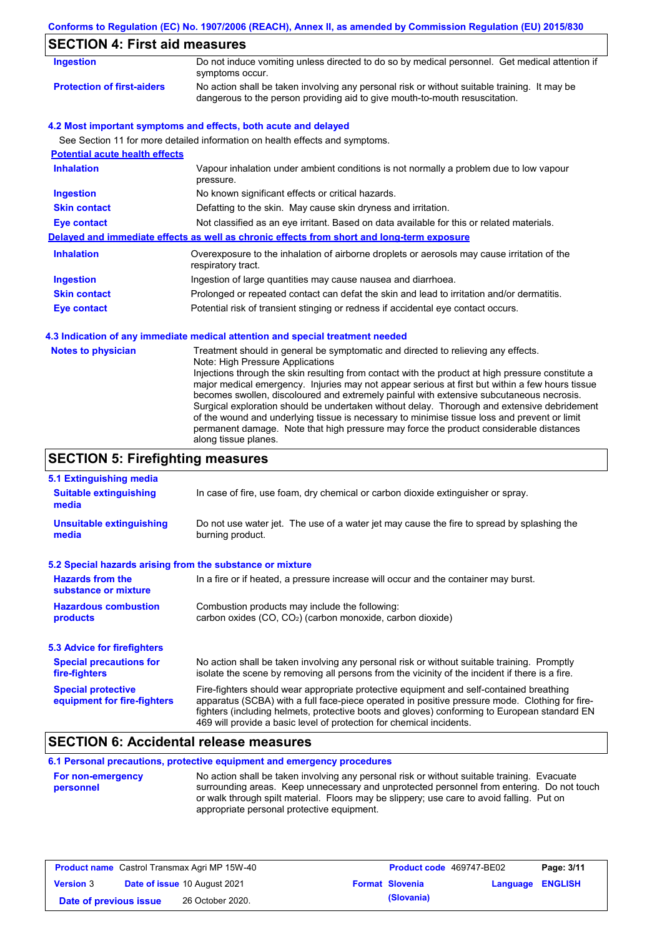|                                                                   | Conforms to Regulation (EC) No. 1907/2006 (REACH), Annex II, as amended by Commission Regulation (EU) 2015/830                                                                                                                                                                                                                                                                                                            |
|-------------------------------------------------------------------|---------------------------------------------------------------------------------------------------------------------------------------------------------------------------------------------------------------------------------------------------------------------------------------------------------------------------------------------------------------------------------------------------------------------------|
| <b>SECTION 4: First aid measures</b>                              |                                                                                                                                                                                                                                                                                                                                                                                                                           |
| <b>Ingestion</b>                                                  | Do not induce vomiting unless directed to do so by medical personnel. Get medical attention if<br>symptoms occur.                                                                                                                                                                                                                                                                                                         |
| <b>Protection of first-aiders</b>                                 | No action shall be taken involving any personal risk or without suitable training. It may be<br>dangerous to the person providing aid to give mouth-to-mouth resuscitation.                                                                                                                                                                                                                                               |
|                                                                   | 4.2 Most important symptoms and effects, both acute and delayed                                                                                                                                                                                                                                                                                                                                                           |
| <b>Potential acute health effects</b>                             | See Section 11 for more detailed information on health effects and symptoms.                                                                                                                                                                                                                                                                                                                                              |
| <b>Inhalation</b>                                                 | Vapour inhalation under ambient conditions is not normally a problem due to low vapour<br>pressure.                                                                                                                                                                                                                                                                                                                       |
| <b>Ingestion</b>                                                  | No known significant effects or critical hazards.                                                                                                                                                                                                                                                                                                                                                                         |
| <b>Skin contact</b>                                               | Defatting to the skin. May cause skin dryness and irritation.                                                                                                                                                                                                                                                                                                                                                             |
| <b>Eye contact</b>                                                | Not classified as an eye irritant. Based on data available for this or related materials.                                                                                                                                                                                                                                                                                                                                 |
|                                                                   | Delayed and immediate effects as well as chronic effects from short and long-term exposure                                                                                                                                                                                                                                                                                                                                |
| <b>Inhalation</b>                                                 | Overexposure to the inhalation of airborne droplets or aerosols may cause irritation of the<br>respiratory tract.                                                                                                                                                                                                                                                                                                         |
| <b>Ingestion</b>                                                  | Ingestion of large quantities may cause nausea and diarrhoea.                                                                                                                                                                                                                                                                                                                                                             |
| <b>Skin contact</b>                                               | Prolonged or repeated contact can defat the skin and lead to irritation and/or dermatitis.                                                                                                                                                                                                                                                                                                                                |
| <b>Eye contact</b>                                                | Potential risk of transient stinging or redness if accidental eye contact occurs.                                                                                                                                                                                                                                                                                                                                         |
|                                                                   | 4.3 Indication of any immediate medical attention and special treatment needed                                                                                                                                                                                                                                                                                                                                            |
| <b>Notes to physician</b>                                         | Treatment should in general be symptomatic and directed to relieving any effects.<br>Note: High Pressure Applications<br>Injections through the skin resulting from contact with the product at high pressure constitute a<br>major medical emergency. Injuries may not appear serious at first but within a few hours tissue<br>becomes swollen, discoloured and extremely painful with extensive subcutaneous necrosis. |
|                                                                   | Surgical exploration should be undertaken without delay. Thorough and extensive debridement<br>of the wound and underlying tissue is necessary to minimise tissue loss and prevent or limit<br>permanent damage. Note that high pressure may force the product considerable distances<br>along tissue planes.                                                                                                             |
| <b>SECTION 5: Firefighting measures</b>                           |                                                                                                                                                                                                                                                                                                                                                                                                                           |
| 5.1 Extinguishing media<br><b>Suitable extinguishing</b><br>media | In case of fire, use foam, dry chemical or carbon dioxide extinguisher or spray.                                                                                                                                                                                                                                                                                                                                          |
| <b>Unsuitable extinguishing</b><br>media                          | Do not use water jet. The use of a water jet may cause the fire to spread by splashing the<br>burning product.                                                                                                                                                                                                                                                                                                            |

|  |  |  | 5.2 Special hazards arising from the substance or mixture |  |  |
|--|--|--|-----------------------------------------------------------|--|--|
|  |  |  |                                                           |  |  |

| <b>Hazards from the</b><br>substance or mixture | In a fire or if heated, a pressure increase will occur and the container may burst.             |  |  |  |  |  |
|-------------------------------------------------|-------------------------------------------------------------------------------------------------|--|--|--|--|--|
| <b>Hazardous combustion</b>                     | Combustion products may include the following:                                                  |  |  |  |  |  |
| products                                        | carbon oxides (CO, CO <sub>2</sub> ) (carbon monoxide, carbon dioxide)                          |  |  |  |  |  |
| <b>5.3 Advice for firefighters</b>              |                                                                                                 |  |  |  |  |  |
| <b>Special precautions for</b>                  | No action shall be taken involving any personal risk or without suitable training. Promptly     |  |  |  |  |  |
| fire-fighters                                   | isolate the scene by removing all persons from the vicinity of the incident if there is a fire. |  |  |  |  |  |
| <b>Special protective</b>                       | Fire-fighters should wear appropriate protective equipment and self-contained breathing         |  |  |  |  |  |
| equipment for fire-fighters                     | apparatus (SCBA) with a full face-piece operated in positive pressure mode. Clothing for fire-  |  |  |  |  |  |

## **SECTION 6: Accidental release measures**

## **6.1 Personal precautions, protective equipment and emergency procedures**

| For non-emergency | No action shall be taken involving any personal risk or without suitable training. Evacuate |
|-------------------|---------------------------------------------------------------------------------------------|
| personnel         | surrounding areas. Keep unnecessary and unprotected personnel from entering. Do not touch   |
|                   | or walk through spilt material. Floors may be slippery; use care to avoid falling. Put on   |
|                   | appropriate personal protective equipment.                                                  |

469 will provide a basic level of protection for chemical incidents.

fighters (including helmets, protective boots and gloves) conforming to European standard EN

| <b>Product name</b> Castrol Transmax Agri MP 15W-40 |  |                                     | <b>Product code</b> 469747-BE02 | Page: 3/11             |                         |  |
|-----------------------------------------------------|--|-------------------------------------|---------------------------------|------------------------|-------------------------|--|
| <b>Version 3</b>                                    |  | <b>Date of issue 10 August 2021</b> |                                 | <b>Format Slovenia</b> | <b>Language ENGLISH</b> |  |
| Date of previous issue                              |  | 26 October 2020.                    |                                 | (Slovania)             |                         |  |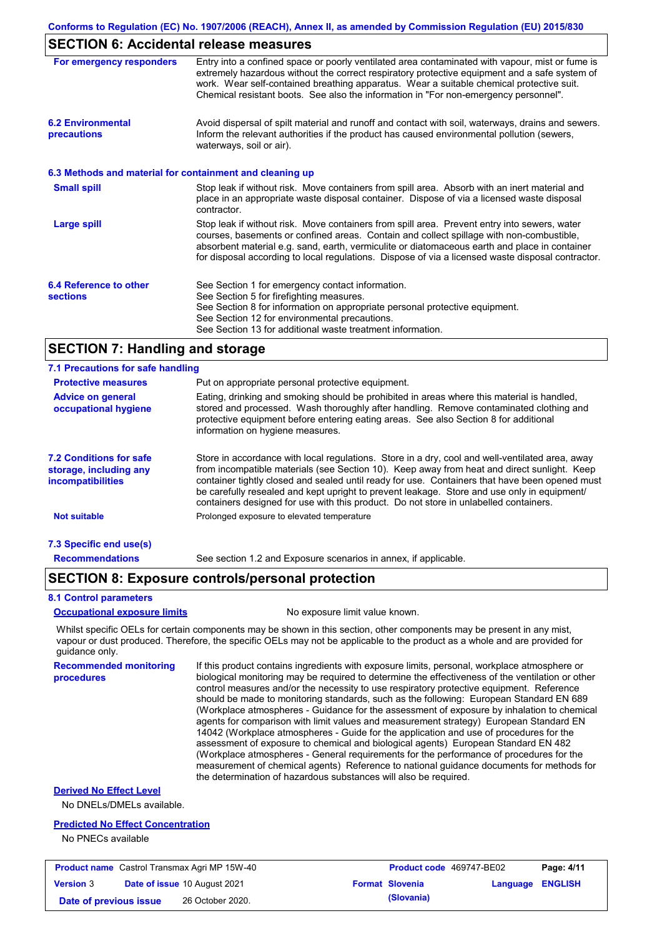## **SECTION 6: Accidental release measures**

| For emergency responders                                 | Entry into a confined space or poorly ventilated area contaminated with vapour, mist or fume is<br>extremely hazardous without the correct respiratory protective equipment and a safe system of<br>work. Wear self-contained breathing apparatus. Wear a suitable chemical protective suit.<br>Chemical resistant boots. See also the information in "For non-emergency personnel".           |
|----------------------------------------------------------|------------------------------------------------------------------------------------------------------------------------------------------------------------------------------------------------------------------------------------------------------------------------------------------------------------------------------------------------------------------------------------------------|
| <b>6.2 Environmental</b><br>precautions                  | Avoid dispersal of spilt material and runoff and contact with soil, waterways, drains and sewers.<br>Inform the relevant authorities if the product has caused environmental pollution (sewers,<br>waterways, soil or air).                                                                                                                                                                    |
| 6.3 Methods and material for containment and cleaning up |                                                                                                                                                                                                                                                                                                                                                                                                |
| <b>Small spill</b>                                       | Stop leak if without risk. Move containers from spill area. Absorb with an inert material and<br>place in an appropriate waste disposal container. Dispose of via a licensed waste disposal<br>contractor.                                                                                                                                                                                     |
| Large spill                                              | Stop leak if without risk. Move containers from spill area. Prevent entry into sewers, water<br>courses, basements or confined areas. Contain and collect spillage with non-combustible,<br>absorbent material e.g. sand, earth, vermiculite or diatomaceous earth and place in container<br>for disposal according to local regulations. Dispose of via a licensed waste disposal contractor. |
| 6.4 Reference to other<br><b>sections</b>                | See Section 1 for emergency contact information.<br>See Section 5 for firefighting measures.<br>See Section 8 for information on appropriate personal protective equipment.<br>See Section 12 for environmental precautions.<br>See Section 13 for additional waste treatment information.                                                                                                     |

## **SECTION 7: Handling and storage**

#### Store in accordance with local regulations. Store in a dry, cool and well-ventilated area, away from incompatible materials (see Section 10). Keep away from heat and direct sunlight. Keep container tightly closed and sealed until ready for use. Containers that have been opened must be carefully resealed and kept upright to prevent leakage. Store and use only in equipment/ containers designed for use with this product. Do not store in unlabelled containers. **7.1 Precautions for safe handling Protective measures Advice on general occupational hygiene 7.2 Conditions for safe storage, including any incompatibilities 7.3 Specific end use(s) Recommendations** Put on appropriate personal protective equipment. Eating, drinking and smoking should be prohibited in areas where this material is handled, stored and processed. Wash thoroughly after handling. Remove contaminated clothing and protective equipment before entering eating areas. See also Section 8 for additional information on hygiene measures. **Not suitable Not suitable** Prolonged exposure to elevated temperature See section 1.2 and Exposure scenarios in annex, if applicable.

## **SECTION 8: Exposure controls/personal protection**

#### **8.1 Control parameters**

#### **Occupational exposure limits** No exposure limit value known.

Whilst specific OELs for certain components may be shown in this section, other components may be present in any mist, vapour or dust produced. Therefore, the specific OELs may not be applicable to the product as a whole and are provided for guidance only.

**Recommended monitoring procedures** If this product contains ingredients with exposure limits, personal, workplace atmosphere or biological monitoring may be required to determine the effectiveness of the ventilation or other control measures and/or the necessity to use respiratory protective equipment. Reference should be made to monitoring standards, such as the following: European Standard EN 689 (Workplace atmospheres - Guidance for the assessment of exposure by inhalation to chemical agents for comparison with limit values and measurement strategy) European Standard EN 14042 (Workplace atmospheres - Guide for the application and use of procedures for the assessment of exposure to chemical and biological agents) European Standard EN 482 (Workplace atmospheres - General requirements for the performance of procedures for the measurement of chemical agents) Reference to national guidance documents for methods for the determination of hazardous substances will also be required.

### **Derived No Effect Level**

No DNELs/DMELs available.

#### **Predicted No Effect Concentration**

No PNECs available

| <b>Product name</b> Castrol Transmax Agri MP 15W-40 |  | <b>Product code</b> 469747-BE02     |  | Page: 4/11             |                         |  |
|-----------------------------------------------------|--|-------------------------------------|--|------------------------|-------------------------|--|
| <b>Version 3</b>                                    |  | <b>Date of issue 10 August 2021</b> |  | <b>Format Slovenia</b> | <b>Language ENGLISH</b> |  |
| Date of previous issue                              |  | 26 October 2020.                    |  | (Slovania)             |                         |  |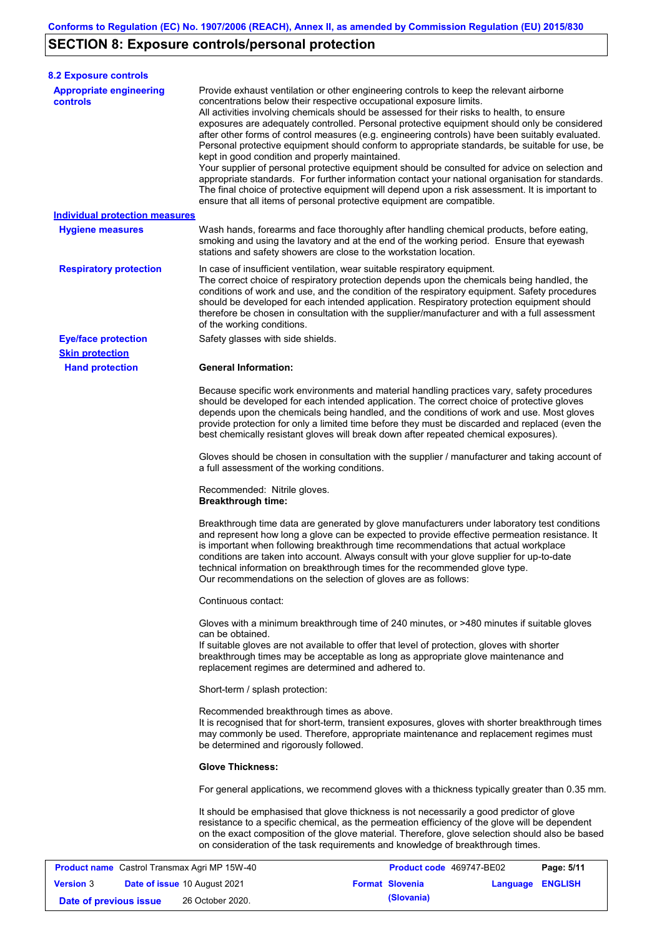# **SECTION 8: Exposure controls/personal protection**

**Version** 3

| <b>8.2 Exposure controls</b>                      |                                                                                                                                                |                                                                                                                                                                                                                                                                                                                                                                                                                                                                                                                                                                                                                                                                                                                                                                                                                                                                               |            |  |  |
|---------------------------------------------------|------------------------------------------------------------------------------------------------------------------------------------------------|-------------------------------------------------------------------------------------------------------------------------------------------------------------------------------------------------------------------------------------------------------------------------------------------------------------------------------------------------------------------------------------------------------------------------------------------------------------------------------------------------------------------------------------------------------------------------------------------------------------------------------------------------------------------------------------------------------------------------------------------------------------------------------------------------------------------------------------------------------------------------------|------------|--|--|
| <b>Appropriate engineering</b><br><b>controls</b> | concentrations below their respective occupational exposure limits.<br>kept in good condition and properly maintained.                         | Provide exhaust ventilation or other engineering controls to keep the relevant airborne<br>All activities involving chemicals should be assessed for their risks to health, to ensure<br>exposures are adequately controlled. Personal protective equipment should only be considered<br>after other forms of control measures (e.g. engineering controls) have been suitably evaluated.<br>Personal protective equipment should conform to appropriate standards, be suitable for use, be<br>Your supplier of personal protective equipment should be consulted for advice on selection and<br>appropriate standards. For further information contact your national organisation for standards.<br>The final choice of protective equipment will depend upon a risk assessment. It is important to<br>ensure that all items of personal protective equipment are compatible. |            |  |  |
| <b>Individual protection measures</b>             |                                                                                                                                                |                                                                                                                                                                                                                                                                                                                                                                                                                                                                                                                                                                                                                                                                                                                                                                                                                                                                               |            |  |  |
| <b>Hygiene measures</b>                           | stations and safety showers are close to the workstation location.                                                                             | Wash hands, forearms and face thoroughly after handling chemical products, before eating,<br>smoking and using the lavatory and at the end of the working period. Ensure that eyewash                                                                                                                                                                                                                                                                                                                                                                                                                                                                                                                                                                                                                                                                                         |            |  |  |
| <b>Respiratory protection</b>                     | of the working conditions.                                                                                                                     | In case of insufficient ventilation, wear suitable respiratory equipment.<br>The correct choice of respiratory protection depends upon the chemicals being handled, the<br>conditions of work and use, and the condition of the respiratory equipment. Safety procedures<br>should be developed for each intended application. Respiratory protection equipment should<br>therefore be chosen in consultation with the supplier/manufacturer and with a full assessment                                                                                                                                                                                                                                                                                                                                                                                                       |            |  |  |
| <b>Eye/face protection</b>                        | Safety glasses with side shields.                                                                                                              |                                                                                                                                                                                                                                                                                                                                                                                                                                                                                                                                                                                                                                                                                                                                                                                                                                                                               |            |  |  |
| <b>Skin protection</b>                            |                                                                                                                                                |                                                                                                                                                                                                                                                                                                                                                                                                                                                                                                                                                                                                                                                                                                                                                                                                                                                                               |            |  |  |
| <b>Hand protection</b>                            | <b>General Information:</b>                                                                                                                    |                                                                                                                                                                                                                                                                                                                                                                                                                                                                                                                                                                                                                                                                                                                                                                                                                                                                               |            |  |  |
|                                                   |                                                                                                                                                | Because specific work environments and material handling practices vary, safety procedures<br>should be developed for each intended application. The correct choice of protective gloves<br>depends upon the chemicals being handled, and the conditions of work and use. Most gloves<br>provide protection for only a limited time before they must be discarded and replaced (even the<br>best chemically resistant gloves will break down after repeated chemical exposures).                                                                                                                                                                                                                                                                                                                                                                                              |            |  |  |
|                                                   | Gloves should be chosen in consultation with the supplier / manufacturer and taking account of<br>a full assessment of the working conditions. |                                                                                                                                                                                                                                                                                                                                                                                                                                                                                                                                                                                                                                                                                                                                                                                                                                                                               |            |  |  |
|                                                   | Recommended: Nitrile gloves.<br><b>Breakthrough time:</b>                                                                                      |                                                                                                                                                                                                                                                                                                                                                                                                                                                                                                                                                                                                                                                                                                                                                                                                                                                                               |            |  |  |
|                                                   | Our recommendations on the selection of gloves are as follows:                                                                                 | Breakthrough time data are generated by glove manufacturers under laboratory test conditions<br>and represent how long a glove can be expected to provide effective permeation resistance. It<br>is important when following breakthrough time recommendations that actual workplace<br>conditions are taken into account. Always consult with your glove supplier for up-to-date<br>technical information on breakthrough times for the recommended glove type.                                                                                                                                                                                                                                                                                                                                                                                                              |            |  |  |
|                                                   | Continuous contact:                                                                                                                            |                                                                                                                                                                                                                                                                                                                                                                                                                                                                                                                                                                                                                                                                                                                                                                                                                                                                               |            |  |  |
|                                                   | can be obtained.<br>replacement regimes are determined and adhered to.                                                                         | Gloves with a minimum breakthrough time of 240 minutes, or >480 minutes if suitable gloves<br>If suitable gloves are not available to offer that level of protection, gloves with shorter<br>breakthrough times may be acceptable as long as appropriate glove maintenance and                                                                                                                                                                                                                                                                                                                                                                                                                                                                                                                                                                                                |            |  |  |
|                                                   | Short-term / splash protection:                                                                                                                |                                                                                                                                                                                                                                                                                                                                                                                                                                                                                                                                                                                                                                                                                                                                                                                                                                                                               |            |  |  |
|                                                   | Recommended breakthrough times as above.<br>be determined and rigorously followed.                                                             | It is recognised that for short-term, transient exposures, gloves with shorter breakthrough times<br>may commonly be used. Therefore, appropriate maintenance and replacement regimes must                                                                                                                                                                                                                                                                                                                                                                                                                                                                                                                                                                                                                                                                                    |            |  |  |
|                                                   | <b>Glove Thickness:</b>                                                                                                                        |                                                                                                                                                                                                                                                                                                                                                                                                                                                                                                                                                                                                                                                                                                                                                                                                                                                                               |            |  |  |
|                                                   |                                                                                                                                                | For general applications, we recommend gloves with a thickness typically greater than 0.35 mm.                                                                                                                                                                                                                                                                                                                                                                                                                                                                                                                                                                                                                                                                                                                                                                                |            |  |  |
|                                                   |                                                                                                                                                | It should be emphasised that glove thickness is not necessarily a good predictor of glove<br>resistance to a specific chemical, as the permeation efficiency of the glove will be dependent<br>on the exact composition of the glove material. Therefore, glove selection should also be based<br>on consideration of the task requirements and knowledge of breakthrough times.                                                                                                                                                                                                                                                                                                                                                                                                                                                                                              |            |  |  |
| Product name Castrol Transmax Agri MP 15W-40      |                                                                                                                                                | Product code 469747-BE02                                                                                                                                                                                                                                                                                                                                                                                                                                                                                                                                                                                                                                                                                                                                                                                                                                                      | Page: 5/11 |  |  |
|                                                   |                                                                                                                                                |                                                                                                                                                                                                                                                                                                                                                                                                                                                                                                                                                                                                                                                                                                                                                                                                                                                                               |            |  |  |

**Date of issue** 10 August 2021 **Format Slovenia Language ENGLISH**

**Date of previous issue (Slovania)** 26 October 2020.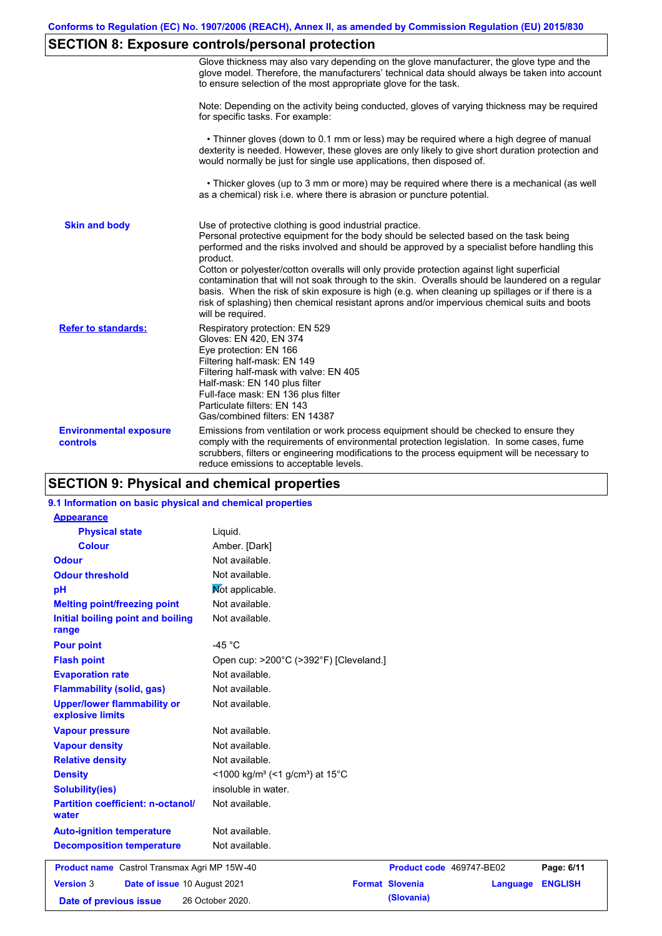# **SECTION 8: Exposure controls/personal protection**

|                                           | Glove thickness may also vary depending on the glove manufacturer, the glove type and the<br>glove model. Therefore, the manufacturers' technical data should always be taken into account<br>to ensure selection of the most appropriate glove for the task.                                                                                                                                                                                                                                                                                                                                                                                                                         |
|-------------------------------------------|---------------------------------------------------------------------------------------------------------------------------------------------------------------------------------------------------------------------------------------------------------------------------------------------------------------------------------------------------------------------------------------------------------------------------------------------------------------------------------------------------------------------------------------------------------------------------------------------------------------------------------------------------------------------------------------|
|                                           | Note: Depending on the activity being conducted, gloves of varying thickness may be required<br>for specific tasks. For example:                                                                                                                                                                                                                                                                                                                                                                                                                                                                                                                                                      |
|                                           | • Thinner gloves (down to 0.1 mm or less) may be required where a high degree of manual<br>dexterity is needed. However, these gloves are only likely to give short duration protection and<br>would normally be just for single use applications, then disposed of.                                                                                                                                                                                                                                                                                                                                                                                                                  |
|                                           | • Thicker gloves (up to 3 mm or more) may be required where there is a mechanical (as well<br>as a chemical) risk i.e. where there is abrasion or puncture potential.                                                                                                                                                                                                                                                                                                                                                                                                                                                                                                                 |
| <b>Skin and body</b>                      | Use of protective clothing is good industrial practice.<br>Personal protective equipment for the body should be selected based on the task being<br>performed and the risks involved and should be approved by a specialist before handling this<br>product.<br>Cotton or polyester/cotton overalls will only provide protection against light superficial<br>contamination that will not soak through to the skin. Overalls should be laundered on a regular<br>basis. When the risk of skin exposure is high (e.g. when cleaning up spillages or if there is a<br>risk of splashing) then chemical resistant aprons and/or impervious chemical suits and boots<br>will be required. |
| <b>Refer to standards:</b>                | Respiratory protection: EN 529<br>Gloves: EN 420, EN 374<br>Eye protection: EN 166<br>Filtering half-mask: EN 149<br>Filtering half-mask with valve: EN 405<br>Half-mask: EN 140 plus filter<br>Full-face mask: EN 136 plus filter<br>Particulate filters: EN 143<br>Gas/combined filters: EN 14387                                                                                                                                                                                                                                                                                                                                                                                   |
| <b>Environmental exposure</b><br>controls | Emissions from ventilation or work process equipment should be checked to ensure they<br>comply with the requirements of environmental protection legislation. In some cases, fume<br>scrubbers, filters or engineering modifications to the process equipment will be necessary to<br>reduce emissions to acceptable levels.                                                                                                                                                                                                                                                                                                                                                         |

## **SECTION 9: Physical and chemical properties**

### **9.1 Information on basic physical and chemical properties**

| <b>Appearance</b>                                      |                                                         |                          |          |                |
|--------------------------------------------------------|---------------------------------------------------------|--------------------------|----------|----------------|
| <b>Physical state</b>                                  | Liquid.                                                 |                          |          |                |
| <b>Colour</b>                                          | Amber. [Dark]                                           |                          |          |                |
| <b>Odour</b>                                           | Not available.                                          |                          |          |                |
| <b>Odour threshold</b>                                 | Not available.                                          |                          |          |                |
| pH                                                     | Mot applicable.                                         |                          |          |                |
| <b>Melting point/freezing point</b>                    | Not available.                                          |                          |          |                |
| Initial boiling point and boiling<br>range             | Not available.                                          |                          |          |                |
| <b>Pour point</b>                                      | -45 $^{\circ}$ C                                        |                          |          |                |
| <b>Flash point</b>                                     | Open cup: >200°C (>392°F) [Cleveland.]                  |                          |          |                |
| <b>Evaporation rate</b>                                | Not available.                                          |                          |          |                |
| <b>Flammability (solid, gas)</b>                       | Not available.                                          |                          |          |                |
| <b>Upper/lower flammability or</b><br>explosive limits | Not available.                                          |                          |          |                |
| <b>Vapour pressure</b>                                 | Not available.                                          |                          |          |                |
| <b>Vapour density</b>                                  | Not available.                                          |                          |          |                |
| <b>Relative density</b>                                | Not available.                                          |                          |          |                |
| <b>Density</b>                                         | <1000 kg/m <sup>3</sup> (<1 g/cm <sup>3</sup> ) at 15°C |                          |          |                |
| <b>Solubility(ies)</b>                                 | insoluble in water.                                     |                          |          |                |
| <b>Partition coefficient: n-octanol/</b><br>water      | Not available.                                          |                          |          |                |
| <b>Auto-ignition temperature</b>                       | Not available.                                          |                          |          |                |
| <b>Decomposition temperature</b>                       | Not available.                                          |                          |          |                |
| <b>Product name</b> Castrol Transmax Agri MP 15W-40    |                                                         | Product code 469747-BE02 |          | Page: 6/11     |
| <b>Version 3</b><br>Date of issue 10 August 2021       |                                                         | <b>Format Slovenia</b>   | Language | <b>ENGLISH</b> |
| Date of previous issue                                 | 26 October 2020.                                        | (Slovania)               |          |                |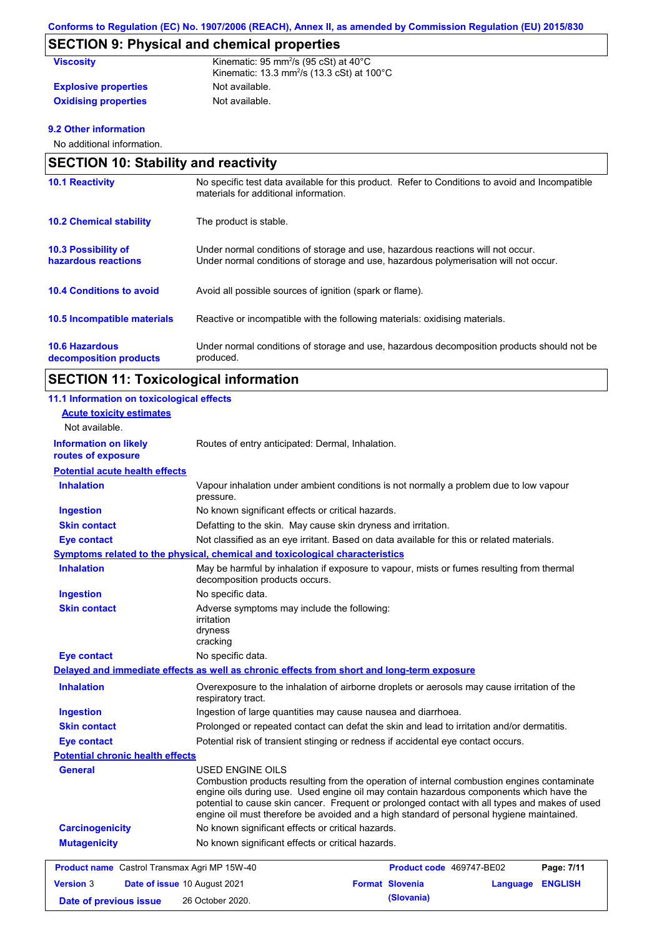# **SECTION 9: Physical and chemical properties**

| <b>Viscosity</b>            | Kinematic: 95 mm <sup>2</sup> /s (95 cSt) at $40^{\circ}$ C<br>Kinematic: 13.3 mm <sup>2</sup> /s (13.3 cSt) at $100^{\circ}$ C |
|-----------------------------|---------------------------------------------------------------------------------------------------------------------------------|
| <b>Explosive properties</b> | Not available.                                                                                                                  |
| <b>Oxidising properties</b> | Not available.                                                                                                                  |

## **9.2 Other information**

No additional information.

| <b>SECTION 10: Stability and reactivity</b>       |                                                                                                                                                                         |  |
|---------------------------------------------------|-------------------------------------------------------------------------------------------------------------------------------------------------------------------------|--|
| <b>10.1 Reactivity</b>                            | No specific test data available for this product. Refer to Conditions to avoid and Incompatible<br>materials for additional information.                                |  |
| <b>10.2 Chemical stability</b>                    | The product is stable.                                                                                                                                                  |  |
| <b>10.3 Possibility of</b><br>hazardous reactions | Under normal conditions of storage and use, hazardous reactions will not occur.<br>Under normal conditions of storage and use, hazardous polymerisation will not occur. |  |
| <b>10.4 Conditions to avoid</b>                   | Avoid all possible sources of ignition (spark or flame).                                                                                                                |  |
| 10.5 Incompatible materials                       | Reactive or incompatible with the following materials: oxidising materials.                                                                                             |  |
| <b>10.6 Hazardous</b><br>decomposition products   | Under normal conditions of storage and use, hazardous decomposition products should not be<br>produced.                                                                 |  |

# **SECTION 11: Toxicological information**

| 11.1 Information on toxicological effects           |                                                                                                     |                                                                                                                                                                                                                                                                                                                                                                                      |  |
|-----------------------------------------------------|-----------------------------------------------------------------------------------------------------|--------------------------------------------------------------------------------------------------------------------------------------------------------------------------------------------------------------------------------------------------------------------------------------------------------------------------------------------------------------------------------------|--|
| <b>Acute toxicity estimates</b>                     |                                                                                                     |                                                                                                                                                                                                                                                                                                                                                                                      |  |
| Not available.                                      |                                                                                                     |                                                                                                                                                                                                                                                                                                                                                                                      |  |
| <b>Information on likely</b><br>routes of exposure  | Routes of entry anticipated: Dermal, Inhalation.                                                    |                                                                                                                                                                                                                                                                                                                                                                                      |  |
| <b>Potential acute health effects</b>               |                                                                                                     |                                                                                                                                                                                                                                                                                                                                                                                      |  |
| <b>Inhalation</b>                                   | Vapour inhalation under ambient conditions is not normally a problem due to low vapour<br>pressure. |                                                                                                                                                                                                                                                                                                                                                                                      |  |
| <b>Ingestion</b>                                    | No known significant effects or critical hazards.                                                   |                                                                                                                                                                                                                                                                                                                                                                                      |  |
| <b>Skin contact</b>                                 | Defatting to the skin. May cause skin dryness and irritation.                                       |                                                                                                                                                                                                                                                                                                                                                                                      |  |
| <b>Eye contact</b>                                  |                                                                                                     | Not classified as an eye irritant. Based on data available for this or related materials.                                                                                                                                                                                                                                                                                            |  |
|                                                     | <b>Symptoms related to the physical, chemical and toxicological characteristics</b>                 |                                                                                                                                                                                                                                                                                                                                                                                      |  |
| <b>Inhalation</b>                                   | decomposition products occurs.                                                                      | May be harmful by inhalation if exposure to vapour, mists or fumes resulting from thermal                                                                                                                                                                                                                                                                                            |  |
| <b>Ingestion</b>                                    | No specific data.                                                                                   |                                                                                                                                                                                                                                                                                                                                                                                      |  |
| <b>Skin contact</b>                                 | Adverse symptoms may include the following:<br>irritation<br>dryness<br>cracking                    |                                                                                                                                                                                                                                                                                                                                                                                      |  |
| <b>Eye contact</b>                                  | No specific data.                                                                                   |                                                                                                                                                                                                                                                                                                                                                                                      |  |
|                                                     | Delayed and immediate effects as well as chronic effects from short and long-term exposure          |                                                                                                                                                                                                                                                                                                                                                                                      |  |
| <b>Inhalation</b>                                   | respiratory tract.                                                                                  | Overexposure to the inhalation of airborne droplets or aerosols may cause irritation of the                                                                                                                                                                                                                                                                                          |  |
| <b>Ingestion</b>                                    | Ingestion of large quantities may cause nausea and diarrhoea.                                       |                                                                                                                                                                                                                                                                                                                                                                                      |  |
| <b>Skin contact</b>                                 |                                                                                                     | Prolonged or repeated contact can defat the skin and lead to irritation and/or dermatitis.                                                                                                                                                                                                                                                                                           |  |
| <b>Eye contact</b>                                  |                                                                                                     | Potential risk of transient stinging or redness if accidental eye contact occurs.                                                                                                                                                                                                                                                                                                    |  |
| <b>Potential chronic health effects</b>             |                                                                                                     |                                                                                                                                                                                                                                                                                                                                                                                      |  |
| <b>General</b>                                      | <b>USED ENGINE OILS</b>                                                                             | Combustion products resulting from the operation of internal combustion engines contaminate<br>engine oils during use. Used engine oil may contain hazardous components which have the<br>potential to cause skin cancer. Frequent or prolonged contact with all types and makes of used<br>engine oil must therefore be avoided and a high standard of personal hygiene maintained. |  |
| <b>Carcinogenicity</b>                              | No known significant effects or critical hazards.                                                   |                                                                                                                                                                                                                                                                                                                                                                                      |  |
| <b>Mutagenicity</b>                                 | No known significant effects or critical hazards.                                                   |                                                                                                                                                                                                                                                                                                                                                                                      |  |
| <b>Product name</b> Castrol Transmax Agri MP 15W-40 |                                                                                                     | <b>Product code</b> 469747-BE02<br>Page: 7/11                                                                                                                                                                                                                                                                                                                                        |  |
| <b>Version 3</b><br>Date of issue 10 August 2021    |                                                                                                     | <b>Format Slovenia</b><br><b>ENGLISH</b><br>Language                                                                                                                                                                                                                                                                                                                                 |  |
| Date of previous issue                              | 26 October 2020.                                                                                    | (Slovania)                                                                                                                                                                                                                                                                                                                                                                           |  |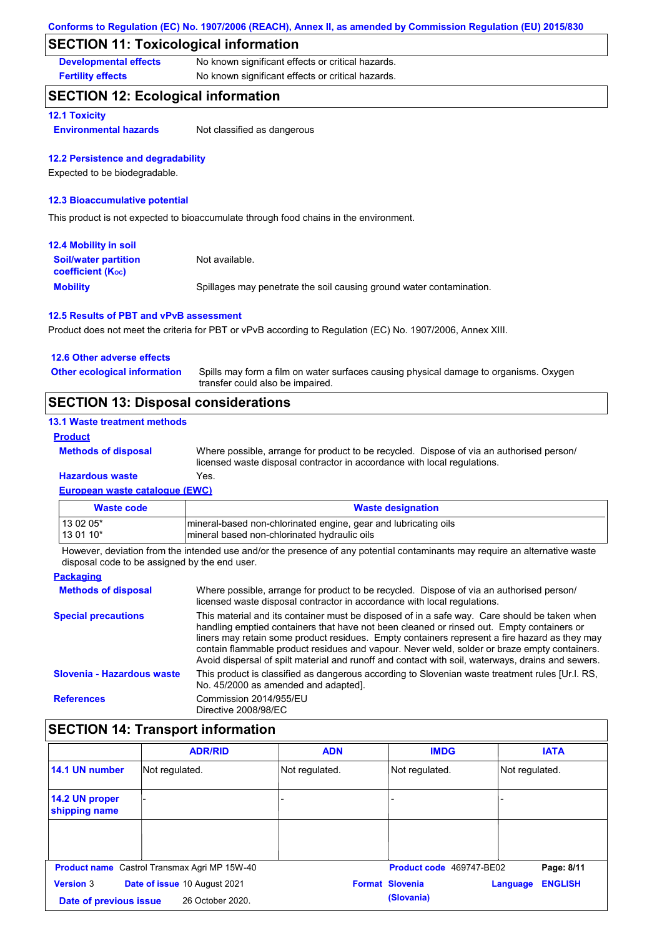## **SECTION 11: Toxicological information**

**Developmental effects** No known significant effects or critical hazards.

**Fertility effects** No known significant effects or critical hazards.

## **SECTION 12: Ecological information**

### **12.1 Toxicity**

**Environmental hazards** Not classified as dangerous

### **12.2 Persistence and degradability**

Expected to be biodegradable.

### **12.3 Bioaccumulative potential**

This product is not expected to bioaccumulate through food chains in the environment.

| <b>12.4 Mobility in soil</b>                            |                                                                      |
|---------------------------------------------------------|----------------------------------------------------------------------|
| <b>Soil/water partition</b><br><b>coefficient (Koc)</b> | Not available.                                                       |
| <b>Mobility</b>                                         | Spillages may penetrate the soil causing ground water contamination. |

### **12.5 Results of PBT and vPvB assessment**

Product does not meet the criteria for PBT or vPvB according to Regulation (EC) No. 1907/2006, Annex XIII.

| <b>SECTION 13: Disposal considerations</b> |                                                                                                                           |
|--------------------------------------------|---------------------------------------------------------------------------------------------------------------------------|
| <b>Other ecological information</b>        | Spills may form a film on water surfaces causing physical damage to organisms. Oxygen<br>transfer could also be impaired. |
| 12.6 Other adverse effects                 |                                                                                                                           |

### **13.1 Waste treatment methods**

#### **Product**

**Methods of disposal**

Where possible, arrange for product to be recycled. Dispose of via an authorised person/ licensed waste disposal contractor in accordance with local regulations.

### **European waste catalogue (EWC) Hazardous waste** Yes.

| <b>Waste code</b> | <b>Waste designation</b>                                        |
|-------------------|-----------------------------------------------------------------|
| 13 02 05*         | mineral-based non-chlorinated engine, gear and lubricating oils |
| 13 01 10*         | mineral based non-chlorinated hydraulic oils                    |

However, deviation from the intended use and/or the presence of any potential contaminants may require an alternative waste disposal code to be assigned by the end user.

| <b>Packaging</b>           |                                                                                                                                                                                                                                                                                                                                                                                                                                                                                                 |
|----------------------------|-------------------------------------------------------------------------------------------------------------------------------------------------------------------------------------------------------------------------------------------------------------------------------------------------------------------------------------------------------------------------------------------------------------------------------------------------------------------------------------------------|
| <b>Methods of disposal</b> | Where possible, arrange for product to be recycled. Dispose of via an authorised person/<br>licensed waste disposal contractor in accordance with local regulations.                                                                                                                                                                                                                                                                                                                            |
| <b>Special precautions</b> | This material and its container must be disposed of in a safe way. Care should be taken when<br>handling emptied containers that have not been cleaned or rinsed out. Empty containers or<br>liners may retain some product residues. Empty containers represent a fire hazard as they may<br>contain flammable product residues and vapour. Never weld, solder or braze empty containers.<br>Avoid dispersal of spilt material and runoff and contact with soil, waterways, drains and sewers. |
| Slovenia - Hazardous waste | This product is classified as dangerous according to Slovenian waste treatment rules [Ur.l. RS,<br>No. 45/2000 as amended and adapted.                                                                                                                                                                                                                                                                                                                                                          |
| <b>References</b>          | Commission 2014/955/EU<br>Directive 2008/98/EC                                                                                                                                                                                                                                                                                                                                                                                                                                                  |

## **SECTION 14: Transport information**

|                                                  | <b>ADR/RID</b>                                      | <b>ADN</b>     | <b>IMDG</b>              | <b>IATA</b>                |
|--------------------------------------------------|-----------------------------------------------------|----------------|--------------------------|----------------------------|
| 14.1 UN number                                   | Not regulated.                                      | Not regulated. | Not regulated.           | Not regulated.             |
| 14.2 UN proper<br>shipping name                  |                                                     |                |                          |                            |
|                                                  |                                                     |                |                          |                            |
|                                                  | <b>Product name</b> Castrol Transmax Agri MP 15W-40 |                | Product code 469747-BE02 | Page: 8/11                 |
| <b>Version 3</b><br>Date of issue 10 August 2021 |                                                     |                | <b>Format Slovenia</b>   | <b>ENGLISH</b><br>Language |
| Date of previous issue                           | 26 October 2020.                                    |                | (Slovania)               |                            |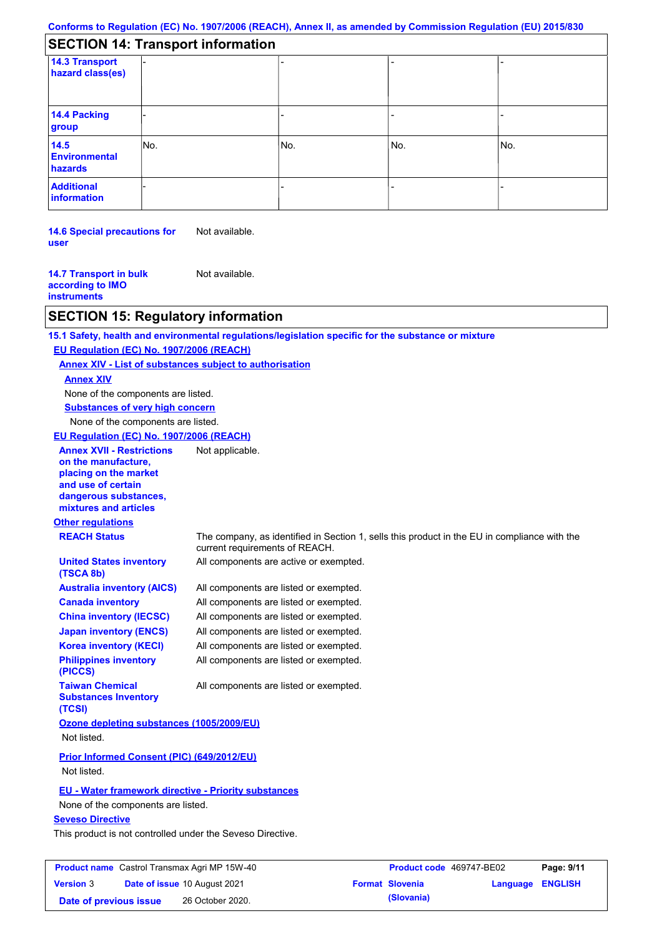|  | <b>SECTION 14: Transport information</b> |  |
|--|------------------------------------------|--|
|--|------------------------------------------|--|

| 14.3 Transport<br>hazard class(es) |     |     |     |     |  |
|------------------------------------|-----|-----|-----|-----|--|
| 14.4 Packing<br>group              |     |     |     |     |  |
| 14.5<br>Environmental<br>hazards   | No. | No. | No. | No. |  |
| <b>Additional</b><br>information   |     |     |     |     |  |

**14.6 Special precautions for user** Not available.

**14.7 Transport in bulk according to IMO instruments** Not available.

## **SECTION 15: Regulatory information**

**Other regulations REACH Status** The company, as identified in Section 1, sells this product in the EU in compliance with the current requirements of REACH. **15.1 Safety, health and environmental regulations/legislation specific for the substance or mixture EU Regulation (EC) No. 1907/2006 (REACH) Annex XIV - List of substances subject to authorisation Substances of very high concern** None of the components are listed. All components are listed or exempted. All components are listed or exempted. All components are listed or exempted. All components are listed or exempted. All components are active or exempted. All components are listed or exempted. All components are listed or exempted. **United States inventory (TSCA 8b) Australia inventory (AICS) Canada inventory China inventory (IECSC) Japan inventory (ENCS) Korea inventory (KECI) Philippines inventory (PICCS) Taiwan Chemical Substances Inventory (TCSI)** All components are listed or exempted. **Ozone depleting substances (1005/2009/EU)** Not listed. **Prior Informed Consent (PIC) (649/2012/EU)** Not listed. **Seveso Directive** This product is not controlled under the Seveso Directive. None of the components are listed. **Annex XIV EU - Water framework directive - Priority substances** None of the components are listed. **EU Regulation (EC) No. 1907/2006 (REACH) Annex XVII - Restrictions on the manufacture, placing on the market and use of certain dangerous substances, mixtures and articles** Not applicable.

| <b>Product name</b> Castrol Transmax Agri MP 15W-40 |  | Product code 469747-BE02            |  | Page: 9/11             |                         |  |
|-----------------------------------------------------|--|-------------------------------------|--|------------------------|-------------------------|--|
| <b>Version 3</b>                                    |  | <b>Date of issue 10 August 2021</b> |  | <b>Format Slovenia</b> | <b>Language ENGLISH</b> |  |
| Date of previous issue                              |  | 26 October 2020.                    |  | (Slovania)             |                         |  |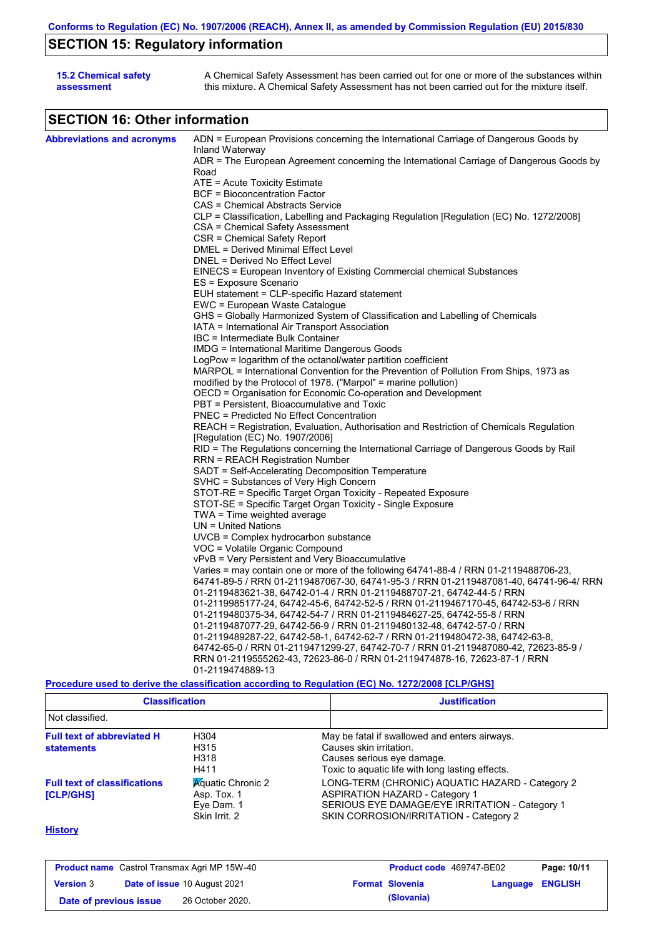# **SECTION 15: Regulatory information**

| <b>15.2 Chemical safety</b> | A Chemical Safety Assessment has been carried out for one or more of the substances within  |
|-----------------------------|---------------------------------------------------------------------------------------------|
| assessment                  | this mixture. A Chemical Safety Assessment has not been carried out for the mixture itself. |

# **SECTION 16: Other information**

| <b>Abbreviations and acronyms</b> | ADN = European Provisions concerning the International Carriage of Dangerous Goods by            |
|-----------------------------------|--------------------------------------------------------------------------------------------------|
|                                   | Inland Waterway                                                                                  |
|                                   | ADR = The European Agreement concerning the International Carriage of Dangerous Goods by         |
|                                   | Road                                                                                             |
|                                   | $ATE = Acute Toxicity Estimate$                                                                  |
|                                   | BCF = Bioconcentration Factor                                                                    |
|                                   | CAS = Chemical Abstracts Service                                                                 |
|                                   | CLP = Classification, Labelling and Packaging Regulation [Regulation (EC) No. 1272/2008]         |
|                                   | CSA = Chemical Safety Assessment                                                                 |
|                                   | CSR = Chemical Safety Report                                                                     |
|                                   | DMEL = Derived Minimal Effect Level                                                              |
|                                   | DNEL = Derived No Effect Level                                                                   |
|                                   | EINECS = European Inventory of Existing Commercial chemical Substances                           |
|                                   | ES = Exposure Scenario                                                                           |
|                                   | EUH statement = CLP-specific Hazard statement                                                    |
|                                   | EWC = European Waste Catalogue                                                                   |
|                                   | GHS = Globally Harmonized System of Classification and Labelling of Chemicals                    |
|                                   | IATA = International Air Transport Association                                                   |
|                                   | IBC = Intermediate Bulk Container                                                                |
|                                   | IMDG = International Maritime Dangerous Goods                                                    |
|                                   | LogPow = logarithm of the octanol/water partition coefficient                                    |
|                                   | MARPOL = International Convention for the Prevention of Pollution From Ships, 1973 as            |
|                                   | modified by the Protocol of 1978. ("Marpol" = marine pollution)                                  |
|                                   | OECD = Organisation for Economic Co-operation and Development                                    |
|                                   | PBT = Persistent, Bioaccumulative and Toxic                                                      |
|                                   | <b>PNEC = Predicted No Effect Concentration</b>                                                  |
|                                   | REACH = Registration, Evaluation, Authorisation and Restriction of Chemicals Regulation          |
|                                   | [Regulation (EC) No. 1907/2006]                                                                  |
|                                   | RID = The Regulations concerning the International Carriage of Dangerous Goods by Rail           |
|                                   | RRN = REACH Registration Number                                                                  |
|                                   | SADT = Self-Accelerating Decomposition Temperature                                               |
|                                   | SVHC = Substances of Very High Concern                                                           |
|                                   | STOT-RE = Specific Target Organ Toxicity - Repeated Exposure                                     |
|                                   | STOT-SE = Specific Target Organ Toxicity - Single Exposure                                       |
|                                   | TWA = Time weighted average                                                                      |
|                                   | $UN = United Nations$                                                                            |
|                                   | $UVCB = Complex\;hydrocarbon\; substance$                                                        |
|                                   | VOC = Volatile Organic Compound                                                                  |
|                                   | vPvB = Very Persistent and Very Bioaccumulative                                                  |
|                                   | Varies = may contain one or more of the following $64741-88-4$ / RRN 01-2119488706-23,           |
|                                   | 64741-89-5 / RRN 01-2119487067-30, 64741-95-3 / RRN 01-2119487081-40, 64741-96-4/ RRN            |
|                                   | 01-2119483621-38, 64742-01-4 / RRN 01-2119488707-21, 64742-44-5 / RRN                            |
|                                   | 01-2119985177-24, 64742-45-6, 64742-52-5 / RRN 01-2119467170-45, 64742-53-6 / RRN                |
|                                   | 01-2119480375-34, 64742-54-7 / RRN 01-2119484627-25, 64742-55-8 / RRN                            |
|                                   | 01-2119487077-29, 64742-56-9 / RRN 01-2119480132-48, 64742-57-0 / RRN                            |
|                                   | 01-2119489287-22, 64742-58-1, 64742-62-7 / RRN 01-2119480472-38, 64742-63-8,                     |
|                                   | 64742-65-0 / RRN 01-2119471299-27, 64742-70-7 / RRN 01-2119487080-42, 72623-85-9 /               |
|                                   | RRN 01-2119555262-43, 72623-86-0 / RRN 01-2119474878-16, 72623-87-1 / RRN                        |
|                                   | 01-2119474889-13                                                                                 |
|                                   | Procedure used to derive the classification according to Regulation (EC) No. 1272/2008 [CLP/GHS] |

| <b>Classification</b><br>Not classified.                |                                                                        | <b>Justification</b>                                                                                                                                                                 |
|---------------------------------------------------------|------------------------------------------------------------------------|--------------------------------------------------------------------------------------------------------------------------------------------------------------------------------------|
|                                                         |                                                                        |                                                                                                                                                                                      |
| <b>Full text of abbreviated H</b><br><b>statements</b>  | H304<br>H315<br>H318<br>H411                                           | May be fatal if swallowed and enters airways.<br>Causes skin irritation.<br>Causes serious eye damage.<br>Toxic to aquatic life with long lasting effects.                           |
| <b>Full text of classifications</b><br><b>[CLP/GHS]</b> | <b>Aguatic Chronic 2</b><br>Asp. Tox. 1<br>Eye Dam. 1<br>Skin Irrit. 2 | LONG-TERM (CHRONIC) AQUATIC HAZARD - Category 2<br><b>ASPIRATION HAZARD - Category 1</b><br>SERIOUS EYE DAMAGE/EYE IRRITATION - Category 1<br>SKIN CORROSION/IRRITATION - Category 2 |

### **History**

| <b>Product name</b> Castrol Transmax Agri MP 15W-40 |  | Product code 469747-BE02            |  | Page: 10/11            |                  |  |
|-----------------------------------------------------|--|-------------------------------------|--|------------------------|------------------|--|
| <b>Version 3</b>                                    |  | <b>Date of issue 10 August 2021</b> |  | <b>Format Slovenia</b> | Language ENGLISH |  |
| Date of previous issue                              |  | 26 October 2020.                    |  | (Slovania)             |                  |  |